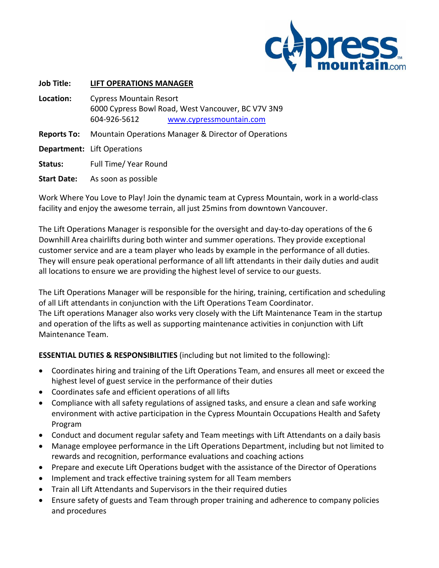

| <b>Job Title:</b>  | <b>LIFT OPERATIONS MANAGER</b>                       |                                                                               |
|--------------------|------------------------------------------------------|-------------------------------------------------------------------------------|
| Location:          | <b>Cypress Mountain Resort</b><br>604-926-5612       | 6000 Cypress Bowl Road, West Vancouver, BC V7V 3N9<br>www.cypressmountain.com |
| <b>Reports To:</b> | Mountain Operations Manager & Director of Operations |                                                                               |
|                    | <b>Department:</b> Lift Operations                   |                                                                               |
| Status:            | Full Time/ Year Round                                |                                                                               |
| <b>Start Date:</b> | As soon as possible                                  |                                                                               |

Work Where You Love to Play! Join the dynamic team at Cypress Mountain, work in a world-class facility and enjoy the awesome terrain, all just 25mins from downtown Vancouver.

The Lift Operations Manager is responsible for the oversight and day-to-day operations of the 6 Downhill Area chairlifts during both winter and summer operations. They provide exceptional customer service and are a team player who leads by example in the performance of all duties. They will ensure peak operational performance of all lift attendants in their daily duties and audit all locations to ensure we are providing the highest level of service to our guests.

The Lift Operations Manager will be responsible for the hiring, training, certification and scheduling of all Lift attendants in conjunction with the Lift Operations Team Coordinator. The Lift operations Manager also works very closely with the Lift Maintenance Team in the startup and operation of the lifts as well as supporting maintenance activities in conjunction with Lift Maintenance Team.

**ESSENTIAL DUTIES & RESPONSIBILITIES** (including but not limited to the following):

- Coordinates hiring and training of the Lift Operations Team, and ensures all meet or exceed the highest level of guest service in the performance of their duties
- Coordinates safe and efficient operations of all lifts
- Compliance with all safety regulations of assigned tasks, and ensure a clean and safe working environment with active participation in the Cypress Mountain Occupations Health and Safety Program
- Conduct and document regular safety and Team meetings with Lift Attendants on a daily basis
- Manage employee performance in the Lift Operations Department, including but not limited to rewards and recognition, performance evaluations and coaching actions
- Prepare and execute Lift Operations budget with the assistance of the Director of Operations
- Implement and track effective training system for all Team members
- Train all Lift Attendants and Supervisors in the their required duties
- Ensure safety of guests and Team through proper training and adherence to company policies and procedures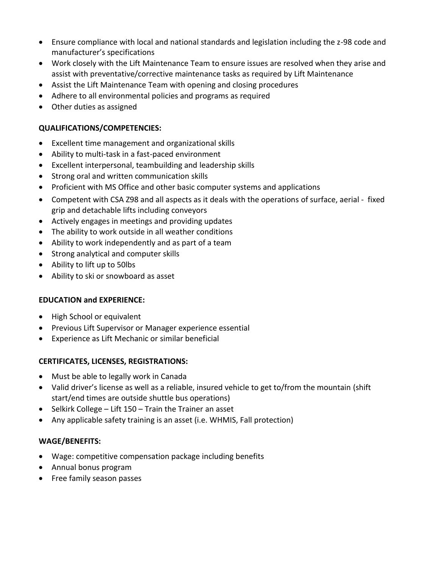- Ensure compliance with local and national standards and legislation including the z-98 code and manufacturer's specifications
- Work closely with the Lift Maintenance Team to ensure issues are resolved when they arise and assist with preventative/corrective maintenance tasks as required by Lift Maintenance
- Assist the Lift Maintenance Team with opening and closing procedures
- Adhere to all environmental policies and programs as required
- Other duties as assigned

# **QUALIFICATIONS/COMPETENCIES:**

- Excellent time management and organizational skills
- Ability to multi-task in a fast-paced environment
- Excellent interpersonal, teambuilding and leadership skills
- Strong oral and written communication skills
- Proficient with MS Office and other basic computer systems and applications
- Competent with CSA Z98 and all aspects as it deals with the operations of surface, aerial fixed grip and detachable lifts including conveyors
- Actively engages in meetings and providing updates
- The ability to work outside in all weather conditions
- Ability to work independently and as part of a team
- Strong analytical and computer skills
- Ability to lift up to 50lbs
- Ability to ski or snowboard as asset

#### **EDUCATION and EXPERIENCE:**

- High School or equivalent
- Previous Lift Supervisor or Manager experience essential
- Experience as Lift Mechanic or similar beneficial

#### **CERTIFICATES, LICENSES, REGISTRATIONS:**

- Must be able to legally work in Canada
- Valid driver's license as well as a reliable, insured vehicle to get to/from the mountain (shift start/end times are outside shuttle bus operations)
- $\bullet$  Selkirk College Lift 150 Train the Trainer an asset
- Any applicable safety training is an asset (i.e. WHMIS, Fall protection)

#### **WAGE/BENEFITS:**

- Wage: competitive compensation package including benefits
- Annual bonus program
- Free family season passes